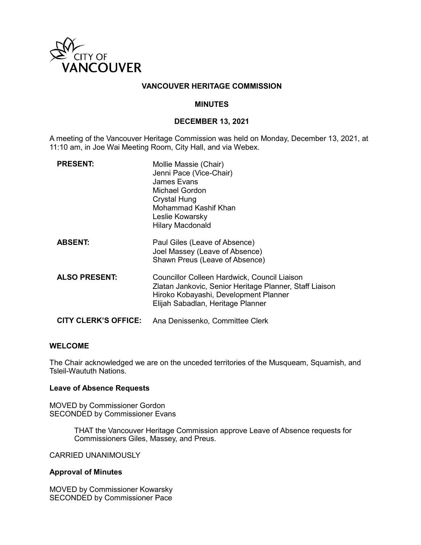

# **VANCOUVER HERITAGE COMMISSION**

# **MINUTES**

# **DECEMBER 13, 2021**

A meeting of the Vancouver Heritage Commission was held on Monday, December 13, 2021, at 11:10 am, in Joe Wai Meeting Room, City Hall, and via Webex.

| <b>PRESENT:</b>             | Mollie Massie (Chair)<br>Jenni Pace (Vice-Chair)<br>James Evans<br>Michael Gordon<br><b>Crystal Hung</b><br>Mohammad Kashif Khan<br>Leslie Kowarsky<br><b>Hilary Macdonald</b>        |
|-----------------------------|---------------------------------------------------------------------------------------------------------------------------------------------------------------------------------------|
| <b>ABSENT:</b>              | Paul Giles (Leave of Absence)<br>Joel Massey (Leave of Absence)<br>Shawn Preus (Leave of Absence)                                                                                     |
| <b>ALSO PRESENT:</b>        | Councillor Colleen Hardwick, Council Liaison<br>Zlatan Jankovic, Senior Heritage Planner, Staff Liaison<br>Hiroko Kobayashi, Development Planner<br>Elijah Sabadlan, Heritage Planner |
| <b>CITY CLERK'S OFFICE:</b> | Ana Denissenko, Committee Clerk                                                                                                                                                       |

### **WELCOME**

The Chair acknowledged we are on the unceded territories of the Musqueam, Squamish, and Tsleil-Waututh Nations.

#### **Leave of Absence Requests**

MOVED by Commissioner Gordon SECONDED by Commissioner Evans

> THAT the Vancouver Heritage Commission approve Leave of Absence requests for Commissioners Giles, Massey, and Preus.

CARRIED UNANIMOUSLY

#### **Approval of Minutes**

MOVED by Commissioner Kowarsky SECONDED by Commissioner Pace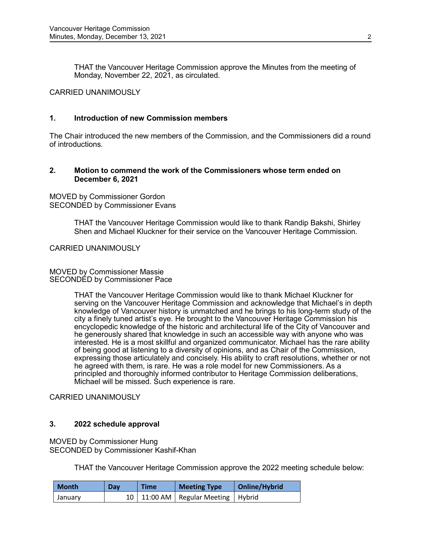THAT the Vancouver Heritage Commission approve the Minutes from the meeting of Monday, November 22, 2021, as circulated.

### CARRIED UNANIMOUSLY

# **1. Introduction of new Commission members**

The Chair introduced the new members of the Commission, and the Commissioners did a round of introductions.

# **2. Motion to commend the work of the Commissioners whose term ended on December 6, 2021**

MOVED by Commissioner Gordon SECONDED by Commissioner Evans

> THAT the Vancouver Heritage Commission would like to thank Randip Bakshi, Shirley Shen and Michael Kluckner for their service on the Vancouver Heritage Commission.

CARRIED UNANIMOUSLY

MOVED by Commissioner Massie SECONDED by Commissioner Pace

> THAT the Vancouver Heritage Commission would like to thank Michael Kluckner for serving on the Vancouver Heritage Commission and acknowledge that Michael's in depth knowledge of Vancouver history is unmatched and he brings to his long-term study of the city a finely tuned artist's eye. He brought to the Vancouver Heritage Commission his encyclopedic knowledge of the historic and architectural life of the City of Vancouver and he generously shared that knowledge in such an accessible way with anyone who was interested. He is a most skillful and organized communicator. Michael has the rare ability of being good at listening to a diversity of opinions, and as Chair of the Commission, expressing those articulately and concisely. His ability to craft resolutions, whether or not he agreed with them, is rare. He was a role model for new Commissioners. As a principled and thoroughly informed contributor to Heritage Commission deliberations, Michael will be missed. Such experience is rare.

CARRIED UNANIMOUSLY

### **3. 2022 schedule approval**

MOVED by Commissioner Hung SECONDED by Commissioner Kashif-Khan

THAT the Vancouver Heritage Commission approve the 2022 meeting schedule below:

| <b>Month</b> | Dav | <b>Time</b> | <b>Meeting Type</b>                      | Online/Hybrid |
|--------------|-----|-------------|------------------------------------------|---------------|
| January      |     |             | 10   11:00 AM   Regular Meeting   Hybrid |               |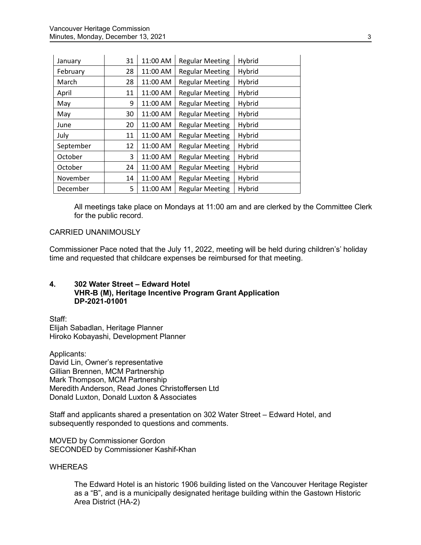| January   | 31 | 11:00 AM | <b>Regular Meeting</b> | Hybrid |
|-----------|----|----------|------------------------|--------|
| February  | 28 | 11:00 AM | <b>Regular Meeting</b> | Hybrid |
| March     | 28 | 11:00 AM | <b>Regular Meeting</b> | Hybrid |
| April     | 11 | 11:00 AM | <b>Regular Meeting</b> | Hybrid |
| May       | 9  | 11:00 AM | <b>Regular Meeting</b> | Hybrid |
| May       | 30 | 11:00 AM | <b>Regular Meeting</b> | Hybrid |
| June      | 20 | 11:00 AM | <b>Regular Meeting</b> | Hybrid |
| July      | 11 | 11:00 AM | <b>Regular Meeting</b> | Hybrid |
| September | 12 | 11:00 AM | <b>Regular Meeting</b> | Hybrid |
| October   | 3  | 11:00 AM | <b>Regular Meeting</b> | Hybrid |
| October   | 24 | 11:00 AM | <b>Regular Meeting</b> | Hybrid |
| November  | 14 | 11:00 AM | <b>Regular Meeting</b> | Hybrid |
| December  | 5  | 11:00 AM | <b>Regular Meeting</b> | Hybrid |

All meetings take place on Mondays at 11:00 am and are clerked by the Committee Clerk for the public record.

### CARRIED UNANIMOUSLY

Commissioner Pace noted that the July 11, 2022, meeting will be held during children's' holiday time and requested that childcare expenses be reimbursed for that meeting.

# **4. 302 Water Street – Edward Hotel VHR-B (M), Heritage Incentive Program Grant Application DP-2021-01001**

Staff: Elijah Sabadlan, Heritage Planner Hiroko Kobayashi, Development Planner

Applicants: David Lin, Owner's representative Gillian Brennen, MCM Partnership Mark Thompson, MCM Partnership Meredith Anderson, Read Jones Christoffersen Ltd Donald Luxton, Donald Luxton & Associates

Staff and applicants shared a presentation on 302 Water Street – Edward Hotel, and subsequently responded to questions and comments.

MOVED by Commissioner Gordon SECONDED by Commissioner Kashif-Khan

# **WHEREAS**

The Edward Hotel is an historic 1906 building listed on the Vancouver Heritage Register as a "B", and is a municipally designated heritage building within the Gastown Historic Area District (HA-2)